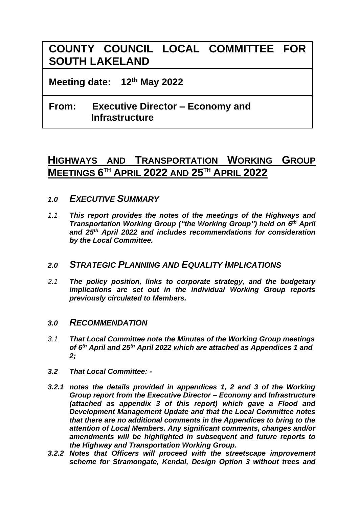# **COUNTY COUNCIL LOCAL COMMITTEE FOR SOUTH LAKELAND**

**Meeting date: 12th May 2022**

## **From: Executive Director – Economy and Infrastructure**

## **HIGHWAYS AND TRANSPORTATION WORKING GROUP MEETINGS 6 TH APRIL 2022 AND 25TH APRIL 2022**

- *1.0 EXECUTIVE SUMMARY*
- *1.1 This report provides the notes of the meetings of the Highways and Transportation Working Group ("the Working Group") held on 6 th April and 25th April 2022 and includes recommendations for consideration by the Local Committee.*

## *2.0 STRATEGIC PLANNING AND EQUALITY IMPLICATIONS*

*2.1 The policy position, links to corporate strategy, and the budgetary implications are set out in the individual Working Group reports previously circulated to Members.*

#### *3.0 RECOMMENDATION*

- *3.1 That Local Committee note the Minutes of the Working Group meetings of 6 th April and 25th April 2022 which are attached as Appendices 1 and 2;*
- *3.2 That Local Committee: -*
- *3.2.1 notes the details provided in appendices 1, 2 and 3 of the Working Group report from the Executive Director – Economy and Infrastructure (attached as appendix 3 of this report) which gave a Flood and Development Management Update and that the Local Committee notes that there are no additional comments in the Appendices to bring to the attention of Local Members. Any significant comments, changes and/or amendments will be highlighted in subsequent and future reports to the Highway and Transportation Working Group.*
- *3.2.2 Notes that Officers will proceed with the streetscape improvement scheme for Stramongate, Kendal, Design Option 3 without trees and*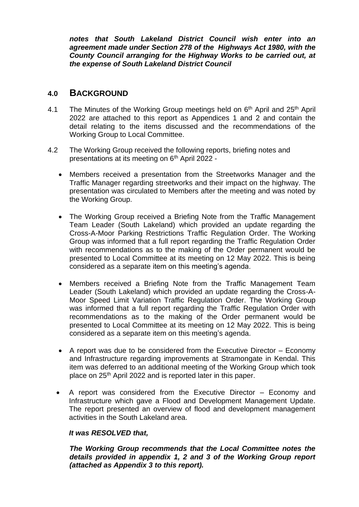*notes that South Lakeland District Council wish enter into an agreement made under Section 278 of the Highways Act 1980, with the County Council arranging for the Highway Works to be carried out, at the expense of South Lakeland District Council*

#### **4.0 BACKGROUND**

- 4.1 The Minutes of the Working Group meetings held on 6<sup>th</sup> April and 25<sup>th</sup> April 2022 are attached to this report as Appendices 1 and 2 and contain the detail relating to the items discussed and the recommendations of the Working Group to Local Committee.
- 4.2 The Working Group received the following reports, briefing notes and presentations at its meeting on 6<sup>th</sup> April 2022 -
	- Members received a presentation from the Streetworks Manager and the Traffic Manager regarding streetworks and their impact on the highway. The presentation was circulated to Members after the meeting and was noted by the Working Group.
	- The Working Group received a Briefing Note from the Traffic Management Team Leader (South Lakeland) which provided an update regarding the Cross-A-Moor Parking Restrictions Traffic Regulation Order. The Working Group was informed that a full report regarding the Traffic Regulation Order with recommendations as to the making of the Order permanent would be presented to Local Committee at its meeting on 12 May 2022. This is being considered as a separate item on this meeting's agenda.
	- Members received a Briefing Note from the Traffic Management Team Leader (South Lakeland) which provided an update regarding the Cross-A-Moor Speed Limit Variation Traffic Regulation Order. The Working Group was informed that a full report regarding the Traffic Regulation Order with recommendations as to the making of the Order permanent would be presented to Local Committee at its meeting on 12 May 2022. This is being considered as a separate item on this meeting's agenda.
	- A report was due to be considered from the Executive Director Economy and Infrastructure regarding improvements at Stramongate in Kendal. This item was deferred to an additional meeting of the Working Group which took place on 25th April 2022 and is reported later in this paper.
	- A report was considered from the Executive Director Economy and Infrastructure which gave a Flood and Development Management Update. The report presented an overview of flood and development management activities in the South Lakeland area.

#### *It was RESOLVED that,*

*The Working Group recommends that the Local Committee notes the details provided in appendix 1, 2 and 3 of the Working Group report (attached as Appendix 3 to this report).*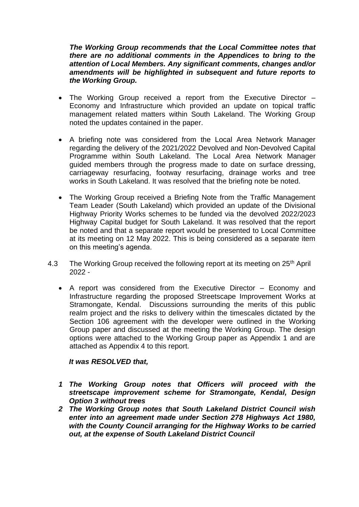*The Working Group recommends that the Local Committee notes that there are no additional comments in the Appendices to bring to the attention of Local Members. Any significant comments, changes and/or amendments will be highlighted in subsequent and future reports to the Working Group.*

- The Working Group received a report from the Executive Director Economy and Infrastructure which provided an update on topical traffic management related matters within South Lakeland. The Working Group noted the updates contained in the paper.
- A briefing note was considered from the Local Area Network Manager regarding the delivery of the 2021/2022 Devolved and Non-Devolved Capital Programme within South Lakeland. The Local Area Network Manager guided members through the progress made to date on surface dressing, carriageway resurfacing, footway resurfacing, drainage works and tree works in South Lakeland. It was resolved that the briefing note be noted.
- The Working Group received a Briefing Note from the Traffic Management Team Leader (South Lakeland) which provided an update of the Divisional Highway Priority Works schemes to be funded via the devolved 2022/2023 Highway Capital budget for South Lakeland. It was resolved that the report be noted and that a separate report would be presented to Local Committee at its meeting on 12 May 2022. This is being considered as a separate item on this meeting's agenda.
- 4.3 The Working Group received the following report at its meeting on 25<sup>th</sup> April 2022 -
	- A report was considered from the Executive Director Economy and Infrastructure regarding the proposed Streetscape Improvement Works at Stramongate, Kendal. Discussions surrounding the merits of this public realm project and the risks to delivery within the timescales dictated by the Section 106 agreement with the developer were outlined in the Working Group paper and discussed at the meeting the Working Group. The design options were attached to the Working Group paper as Appendix 1 and are attached as Appendix 4 to this report.

#### *It was RESOLVED that,*

- *1 The Working Group notes that Officers will proceed with the streetscape improvement scheme for Stramongate, Kendal, Design Option 3 without trees*
- *2 The Working Group notes that South Lakeland District Council wish enter into an agreement made under Section 278 Highways Act 1980, with the County Council arranging for the Highway Works to be carried out, at the expense of South Lakeland District Council*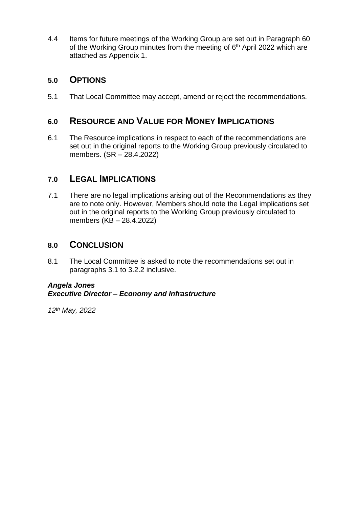4.4 Items for future meetings of the Working Group are set out in Paragraph 60 of the Working Group minutes from the meeting of  $6<sup>th</sup>$  April 2022 which are attached as Appendix 1.

### **5.0 OPTIONS**

5.1 That Local Committee may accept, amend or reject the recommendations.

## **6.0 RESOURCE AND VALUE FOR MONEY IMPLICATIONS**

6.1 The Resource implications in respect to each of the recommendations are set out in the original reports to the Working Group previously circulated to members. (SR – 28.4.2022)

## **7.0 LEGAL IMPLICATIONS**

7.1 There are no legal implications arising out of the Recommendations as they are to note only. However, Members should note the Legal implications set out in the original reports to the Working Group previously circulated to members (KB – 28.4.2022)

### **8.0 CONCLUSION**

8.1 The Local Committee is asked to note the recommendations set out in paragraphs 3.1 to 3.2.2 inclusive.

#### *Angela Jones Executive Director – Economy and Infrastructure*

*12th May, 2022*